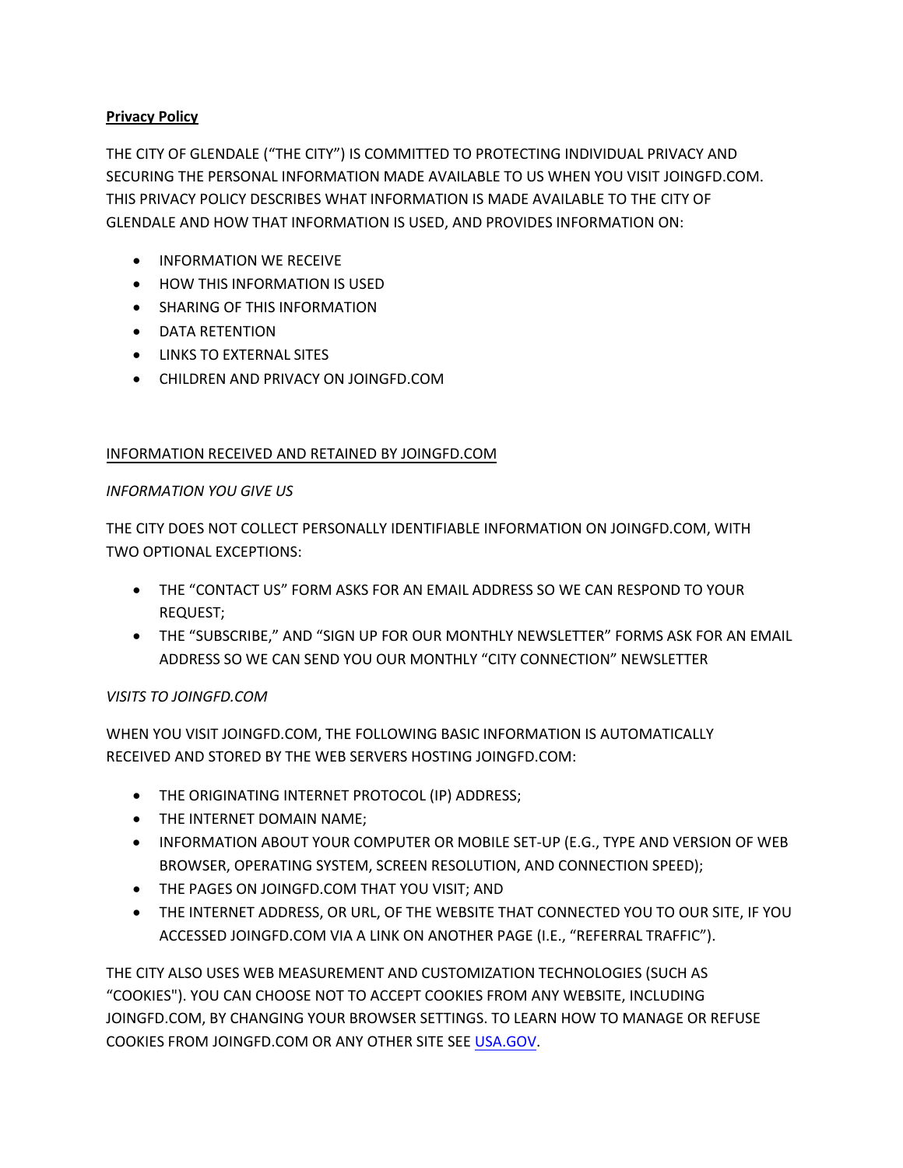# **Privacy Policy**

THE CITY OF GLENDALE ("THE CITY") IS COMMITTED TO PROTECTING INDIVIDUAL PRIVACY AND SECURING THE PERSONAL INFORMATION MADE AVAILABLE TO US WHEN YOU VISIT JOINGFD.COM. THIS PRIVACY POLICY DESCRIBES WHAT INFORMATION IS MADE AVAILABLE TO THE CITY OF GLENDALE AND HOW THAT INFORMATION IS USED, AND PROVIDES INFORMATION ON:

- **INFORMATION WE RECEIVE**
- HOW THIS INFORMATION IS USED
- **•** SHARING OF THIS INFORMATION
- DATA RETENTION
- **LINKS TO EXTERNAL SITES**
- CHILDREN AND PRIVACY ON JOINGFD.COM

# INFORMATION RECEIVED AND RETAINED BY JOINGFD.COM

# *INFORMATION YOU GIVE US*

THE CITY DOES NOT COLLECT PERSONALLY IDENTIFIABLE INFORMATION ON JOINGFD.COM, WITH TWO OPTIONAL EXCEPTIONS:

- THE "CONTACT US" FORM ASKS FOR AN EMAIL ADDRESS SO WE CAN RESPOND TO YOUR REQUEST;
- THE "SUBSCRIBE," AND "SIGN UP FOR OUR MONTHLY NEWSLETTER" FORMS ASK FOR AN EMAIL ADDRESS SO WE CAN SEND YOU OUR MONTHLY "CITY CONNECTION" NEWSLETTER

# *VISITS TO JOINGFD.COM*

WHEN YOU VISIT JOINGFD.COM, THE FOLLOWING BASIC INFORMATION IS AUTOMATICALLY RECEIVED AND STORED BY THE WEB SERVERS HOSTING JOINGFD.COM:

- THE ORIGINATING INTERNET PROTOCOL (IP) ADDRESS;
- THE INTERNET DOMAIN NAME;
- INFORMATION ABOUT YOUR COMPUTER OR MOBILE SET-UP (E.G., TYPE AND VERSION OF WEB BROWSER, OPERATING SYSTEM, SCREEN RESOLUTION, AND CONNECTION SPEED);
- THE PAGES ON JOINGFD.COM THAT YOU VISIT; AND
- THE INTERNET ADDRESS, OR URL, OF THE WEBSITE THAT CONNECTED YOU TO OUR SITE, IF YOU ACCESSED JOINGFD.COM VIA A LINK ON ANOTHER PAGE (I.E., "REFERRAL TRAFFIC").

THE CITY ALSO USES WEB MEASUREMENT AND CUSTOMIZATION TECHNOLOGIES (SUCH AS "COOKIES"). YOU CAN CHOOSE NOT TO ACCEPT COOKIES FROM ANY WEBSITE, INCLUDING JOINGFD.COM, BY CHANGING YOUR BROWSER SETTINGS. TO LEARN HOW TO MANAGE OR REFUSE COOKIES FROM JOINGFD.COM OR ANY [OTHER SIT](http://www.usa.gov/optout_instructions.shtml)E SEE USA.GOV.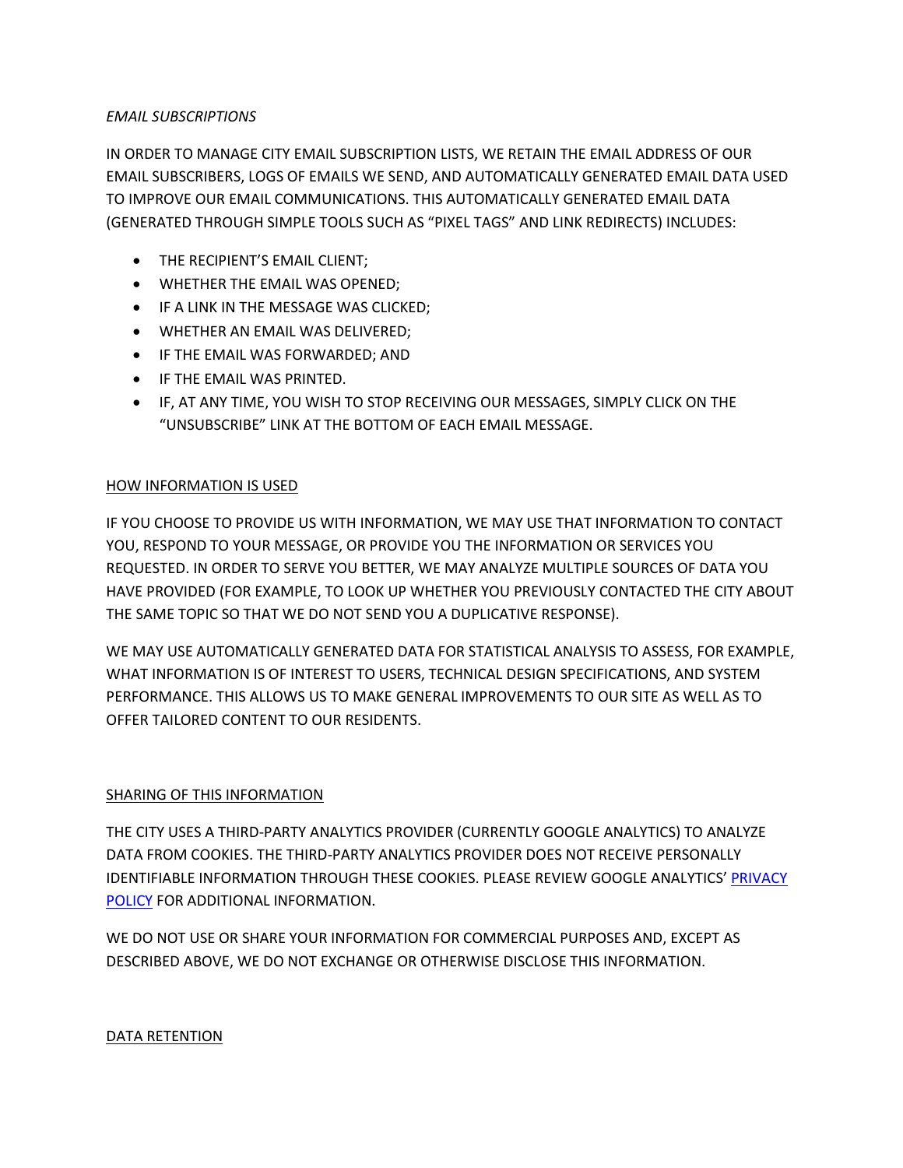## *EMAIL SUBSCRIPTIONS*

IN ORDER TO MANAGE CITY EMAIL SUBSCRIPTION LISTS, WE RETAIN THE EMAIL ADDRESS OF OUR EMAIL SUBSCRIBERS, LOGS OF EMAILS WE SEND, AND AUTOMATICALLY GENERATED EMAIL DATA USED TO IMPROVE OUR EMAIL COMMUNICATIONS. THIS AUTOMATICALLY GENERATED EMAIL DATA (GENERATED THROUGH SIMPLE TOOLS SUCH AS "PIXEL TAGS" AND LINK REDIRECTS) INCLUDES:

- THE RECIPIENT'S EMAIL CLIENT;
- WHETHER THE EMAIL WAS OPENED;
- **IF A LINK IN THE MESSAGE WAS CLICKED;**
- WHETHER AN EMAIL WAS DELIVERED;
- IF THE EMAIL WAS FORWARDED; AND
- **•** IF THE EMAIL WAS PRINTED.
- IF, AT ANY TIME, YOU WISH TO STOP RECEIVING OUR MESSAGES, SIMPLY CLICK ON THE "UNSUBSCRIBE" LINK AT THE BOTTOM OF EACH EMAIL MESSAGE.

## HOW INFORMATION IS USED

IF YOU CHOOSE TO PROVIDE US WITH INFORMATION, WE MAY USE THAT INFORMATION TO CONTACT YOU, RESPOND TO YOUR MESSAGE, OR PROVIDE YOU THE INFORMATION OR SERVICES YOU REQUESTED. IN ORDER TO SERVE YOU BETTER, WE MAY ANALYZE MULTIPLE SOURCES OF DATA YOU HAVE PROVIDED (FOR EXAMPLE, TO LOOK UP WHETHER YOU PREVIOUSLY CONTACTED THE CITY ABOUT THE SAME TOPIC SO THAT WE DO NOT SEND YOU A DUPLICATIVE RESPONSE).

WE MAY USE AUTOMATICALLY GENERATED DATA FOR STATISTICAL ANALYSIS TO ASSESS, FOR EXAMPLE, WHAT INFORMATION IS OF INTEREST TO USERS, TECHNICAL DESIGN SPECIFICATIONS, AND SYSTEM PERFORMANCE. THIS ALLOWS US TO MAKE GENERAL IMPROVEMENTS TO OUR SITE AS WELL AS TO OFFER TAILORED CONTENT TO OUR RESIDENTS.

#### SHARING OF THIS INFORMATION

THE CITY USES A THIRD-PARTY ANALYTICS PROVIDER (CURRENTLY GOOGLE ANALYTICS) TO ANALYZE DATA FROM COOKIES. THE THIRD-PARTY ANALYTICS PROVIDER DOES NOT RECEIVE PERSONALLY IDENTIFIABLE INFORMATION THROUGH THESE COOKIES. PLEASE REVIEW GOOGLE ANALYTICS' [PRIVACY](http://www.google.com/intl/en/analytics/privacyoverview.html)  [POLICY](http://www.google.com/intl/en/analytics/privacyoverview.html) FOR ADDITIONAL INFORMATION.

WE DO NOT USE OR SHARE YOUR INFORMATION FOR COMMERCIAL PURPOSES AND, EXCEPT AS DESCRIBED ABOVE, WE DO NOT EXCHANGE OR OTHERWISE DISCLOSE THIS INFORMATION.

#### DATA RETENTION